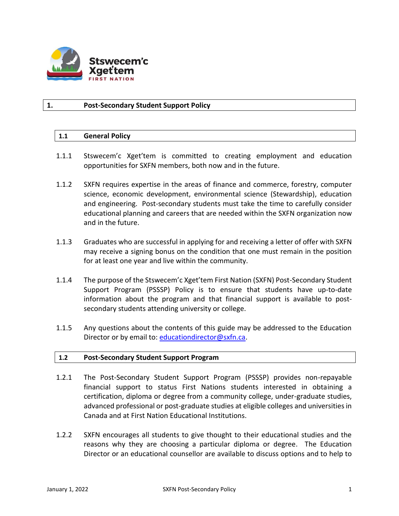

# **1. Post-Secondary Student Support Policy**

## **1.1 General Policy**

- 1.1.1 Stswecem'c Xget'tem is committed to creating employment and education opportunities for SXFN members, both now and in the future.
- 1.1.2 SXFN requires expertise in the areas of finance and commerce, forestry, computer science, economic development, environmental science (Stewardship), education and engineering. Post-secondary students must take the time to carefully consider educational planning and careers that are needed within the SXFN organization now and in the future.
- 1.1.3 Graduates who are successful in applying for and receiving a letter of offer with SXFN may receive a signing bonus on the condition that one must remain in the position for at least one year and live within the community.
- 1.1.4 The purpose of the Stswecem'c Xget'tem First Nation (SXFN) Post-Secondary Student Support Program (PSSSP) Policy is to ensure that students have up-to-date information about the program and that financial support is available to postsecondary students attending university or college.
- 1.1.5 Any questions about the contents of this guide may be addressed to the Education Director or by email to: [educa](mailto:educationmanager@sxfn.ca)[tiondirector@sxfn.ca.](mailto:tiondirector@sxfn.ca)

## **1.2 Post-Secondary Student Support Program**

- 1.2.1 The Post-Secondary Student Support Program (PSSSP) provides non-repayable financial support to status First Nations students interested in obtaining a certification, diploma or degree from a community college, under-graduate studies, advanced professional or post-graduate studies at eligible colleges and universities in Canada and at First Nation Educational Institutions.
- 1.2.2 SXFN encourages all students to give thought to their educational studies and the reasons why they are choosing a particular diploma or degree. The Education Director or an educational counsellor are available to discuss options and to help to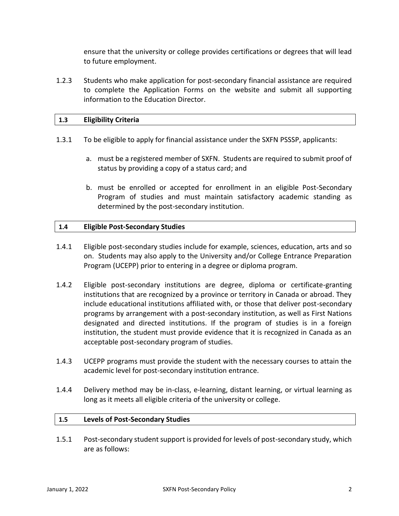ensure that the university or college provides certifications or degrees that will lead to future employment.

1.2.3 Students who make application for post-secondary financial assistance are required to complete the Application Forms on the website and submit all supporting information to the Education Director.

## **1.3 Eligibility Criteria**

- 1.3.1 To be eligible to apply for financial assistance under the SXFN PSSSP, applicants:
	- a. must be a registered member of SXFN. Students are required to submit proof of status by providing a copy of a status card; and
	- b. must be enrolled or accepted for enrollment in an eligible Post-Secondary Program of studies and must maintain satisfactory academic standing as determined by the post-secondary institution.

# **1.4 Eligible Post-Secondary Studies**

- 1.4.1 Eligible post-secondary studies include for example, sciences, education, arts and so on. Students may also apply to the University and/or College Entrance Preparation Program (UCEPP) prior to entering in a degree or diploma program.
- 1.4.2 Eligible post-secondary institutions are degree, diploma or certificate-granting institutions that are recognized by a province or territory in Canada or abroad. They include educational institutions affiliated with, or those that deliver post-secondary programs by arrangement with a post-secondary institution, as well as First Nations designated and directed institutions. If the program of studies is in a foreign institution, the student must provide evidence that it is recognized in Canada as an acceptable post-secondary program of studies.
- 1.4.3 UCEPP programs must provide the student with the necessary courses to attain the academic level for post-secondary institution entrance.
- 1.4.4 Delivery method may be in-class, e-learning, distant learning, or virtual learning as long as it meets all eligible criteria of the university or college.

## **1.5 Levels of Post-Secondary Studies**

1.5.1 Post-secondary student support is provided for levels of post-secondary study, which are as follows: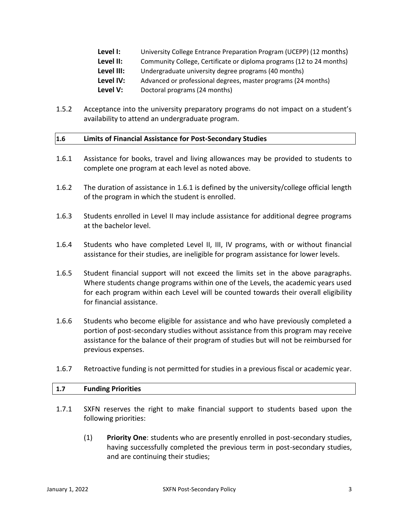- **Level I:** University College Entrance Preparation Program (UCEPP) (12 months)
- **Level II:** Community College, Certificate or diploma programs (12 to 24 months)
- **Level III:** Undergraduate university degree programs (40 months)
- **Level IV:** Advanced or professional degrees, master programs (24 months)
- **Level V:** Doctoral programs (24 months)
- 1.5.2 Acceptance into the university preparatory programs do not impact on a student's availability to attend an undergraduate program.

## **1.6 Limits of Financial Assistance for Post-Secondary Studies**

- 1.6.1 Assistance for books, travel and living allowances may be provided to students to complete one program at each level as noted above.
- 1.6.2 The duration of assistance in 1.6.1 is defined by the university/college official length of the program in which the student is enrolled.
- 1.6.3 Students enrolled in Level II may include assistance for additional degree programs at the bachelor level.
- 1.6.4 Students who have completed Level II, III, IV programs, with or without financial assistance for their studies, are ineligible for program assistance for lower levels.
- 1.6.5 Student financial support will not exceed the limits set in the above paragraphs. Where students change programs within one of the Levels, the academic years used for each program within each Level will be counted towards their overall eligibility for financial assistance.
- 1.6.6 Students who become eligible for assistance and who have previously completed a portion of post-secondary studies without assistance from this program may receive assistance for the balance of their program of studies but will not be reimbursed for previous expenses.
- 1.6.7 Retroactive funding is not permitted for studies in a previous fiscal or academic year.

## **1.7 Funding Priorities**

- 1.7.1 SXFN reserves the right to make financial support to students based upon the following priorities:
	- (1) **Priority One**: students who are presently enrolled in post-secondary studies, having successfully completed the previous term in post-secondary studies, and are continuing their studies;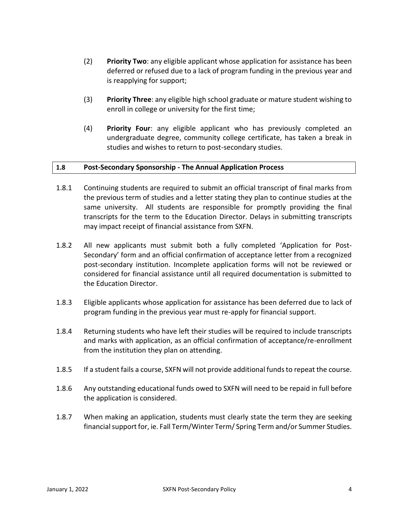- (2) **Priority Two**: any eligible applicant whose application for assistance has been deferred or refused due to a lack of program funding in the previous year and is reapplying for support;
- (3) **Priority Three**: any eligible high school graduate or mature student wishing to enroll in college or university for the first time;
- (4) **Priority Four**: any eligible applicant who has previously completed an undergraduate degree, community college certificate, has taken a break in studies and wishes to return to post-secondary studies.

# **1.8 Post-Secondary Sponsorship - The Annual Application Process**

- 1.8.1 Continuing students are required to submit an official transcript of final marks from the previous term of studies and a letter stating they plan to continue studies at the same university. All students are responsible for promptly providing the final transcripts for the term to the Education Director. Delays in submitting transcripts may impact receipt of financial assistance from SXFN.
- 1.8.2 All new applicants must submit both a fully completed 'Application for Post-Secondary' form and an official confirmation of acceptance letter from a recognized post-secondary institution. Incomplete application forms will not be reviewed or considered for financial assistance until all required documentation is submitted to the Education Director.
- 1.8.3 Eligible applicants whose application for assistance has been deferred due to lack of program funding in the previous year must re-apply for financial support.
- 1.8.4 Returning students who have left their studies will be required to include transcripts and marks with application, as an official confirmation of acceptance/re-enrollment from the institution they plan on attending.
- 1.8.5 If a student fails a course, SXFN will not provide additional funds to repeat the course.
- 1.8.6 Any outstanding educational funds owed to SXFN will need to be repaid in full before the application is considered.
- 1.8.7 When making an application, students must clearly state the term they are seeking financial support for, ie. Fall Term/Winter Term/ Spring Term and/or Summer Studies.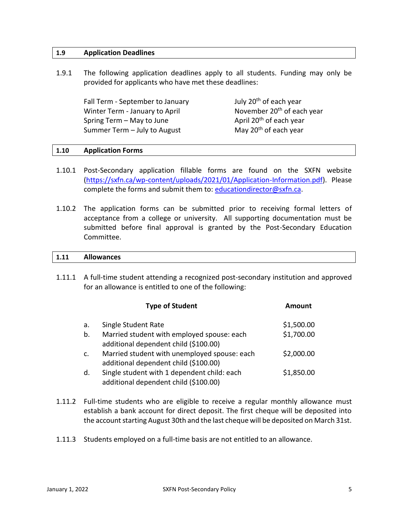## **1.9 Application Deadlines**

1.9.1 The following application deadlines apply to all students. Funding may only be provided for applicants who have met these deadlines:

| Fall Term - September to January | July 20 <sup>th</sup> of each year     |
|----------------------------------|----------------------------------------|
| Winter Term - January to April   | November 20 <sup>th</sup> of each year |
| Spring Term - May to June        | April 20 <sup>th</sup> of each year    |
| Summer Term - July to August     | May 20 <sup>th</sup> of each year      |

### **1.10 Application Forms**

- 1.10.1 Post-Secondary application fillable forms are found on the SXFN website [\(https://sxfn.ca/wp-content/uploads/2021/01/Application-Information.pdf\)](https://sxfn.ca/wp-content/uploads/2021/01/Application-Information.pdf). Please complete the forms and submit them to: [educa](mailto:educationmanager@sxfn.ca)[tiondirector@sxfn.ca.](mailto:tiondirector@sxfn.ca)
- 1.10.2 The application forms can be submitted prior to receiving formal letters of acceptance from a college or university. All supporting documentation must be submitted before final approval is granted by the Post-Secondary Education Committee.

| 1.11<br>- 1<br><b>T.TT</b> | <b>Allowances</b> |
|----------------------------|-------------------|
|                            |                   |

1.11.1 A full-time student attending a recognized post-secondary institution and approved for an allowance is entitled to one of the following:

|    | <b>Type of Student</b>                                                                | <b>Amount</b> |  |
|----|---------------------------------------------------------------------------------------|---------------|--|
| a. | Single Student Rate                                                                   | \$1,500.00    |  |
| b. | Married student with employed spouse: each<br>additional dependent child (\$100.00)   | \$1,700.00    |  |
| c. | Married student with unemployed spouse: each<br>additional dependent child (\$100.00) | \$2,000.00    |  |
| d. | Single student with 1 dependent child: each<br>additional dependent child (\$100.00)  | \$1,850.00    |  |

- 1.11.2 Full-time students who are eligible to receive a regular monthly allowance must establish a bank account for direct deposit. The first cheque will be deposited into the account starting August 30th and the last cheque will be deposited on March 31st.
- 1.11.3 Students employed on a full-time basis are not entitled to an allowance.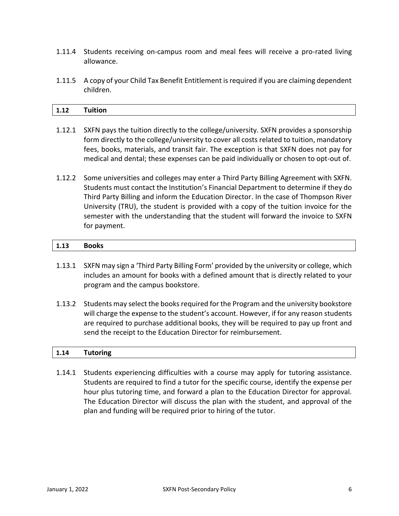- 1.11.4 Students receiving on-campus room and meal fees will receive a pro-rated living allowance.
- 1.11.5 A copy of your Child Tax Benefit Entitlement is required if you are claiming dependent children.

| 1.12 Tuition |  |
|--------------|--|
|--------------|--|

- 1.12.1 SXFN pays the tuition directly to the college/university. SXFN provides a sponsorship form directly to the college/university to cover all costs related to tuition, mandatory fees, books, materials, and transit fair. The exception is that SXFN does not pay for medical and dental; these expenses can be paid individually or chosen to opt-out of.
- 1.12.2 Some universities and colleges may enter a Third Party Billing Agreement with SXFN. Students must contact the Institution's Financial Department to determine if they do Third Party Billing and inform the Education Director. In the case of Thompson River University (TRU), the student is provided with a copy of the tuition invoice for the semester with the understanding that the student will forward the invoice to SXFN for payment.

# **1.13 Books**

- 1.13.1 SXFN may sign a 'Third Party Billing Form' provided by the university or college, which includes an amount for books with a defined amount that is directly related to your program and the campus bookstore.
- 1.13.2 Students may select the books required for the Program and the university bookstore will charge the expense to the student's account. However, if for any reason students are required to purchase additional books, they will be required to pay up front and send the receipt to the Education Director for reimbursement.

## **1.14 Tutoring**

1.14.1 Students experiencing difficulties with a course may apply for tutoring assistance. Students are required to find a tutor for the specific course, identify the expense per hour plus tutoring time, and forward a plan to the Education Director for approval. The Education Director will discuss the plan with the student, and approval of the plan and funding will be required prior to hiring of the tutor.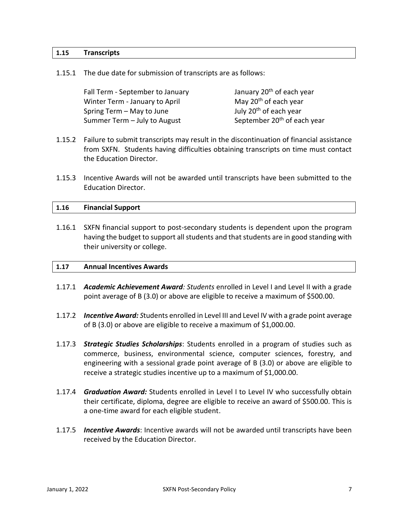### **1.15 Transcripts**

### 1.15.1 The due date for submission of transcripts are as follows:

| Fall Term - September to January | January 20 <sup>th</sup> of each year   |
|----------------------------------|-----------------------------------------|
| Winter Term - January to April   | May 20 <sup>th</sup> of each year       |
| Spring Term – May to June        | July 20 <sup>th</sup> of each year      |
| Summer Term - July to August     | September 20 <sup>th</sup> of each year |

- 1.15.2 Failure to submit transcripts may result in the discontinuation of financial assistance from SXFN. Students having difficulties obtaining transcripts on time must contact the Education Director.
- 1.15.3 Incentive Awards will not be awarded until transcripts have been submitted to the Education Director.

### **1.16 Financial Support**

1.16.1 SXFN financial support to post-secondary students is dependent upon the program having the budget to support all students and that students are in good standing with their university or college.

#### **1.17 Annual Incentives Awards**

- 1.17.1 *Academic Achievement Award: Students* enrolled in Level I and Level II with a grade point average of B (3.0) or above are eligible to receive a maximum of \$500.00.
- 1.17.2 *Incentive Award: S*tudents enrolled in Level III and Level IV with a grade point average of B (3.0) or above are eligible to receive a maximum of \$1,000.00.
- 1.17.3 *Strategic Studies Scholarships*: Students enrolled in a program of studies such as commerce, business, environmental science, computer sciences, forestry, and engineering with a sessional grade point average of B (3.0) or above are eligible to receive a strategic studies incentive up to a maximum of \$1,000.00.
- 1.17.4 **Graduation Award:** Students enrolled in Level I to Level IV who successfully obtain their certificate, diploma, degree are eligible to receive an award of \$500.00. This is a one-time award for each eligible student.
- 1.17.5 *Incentive Awards*: Incentive awards will not be awarded until transcripts have been received by the Education Director.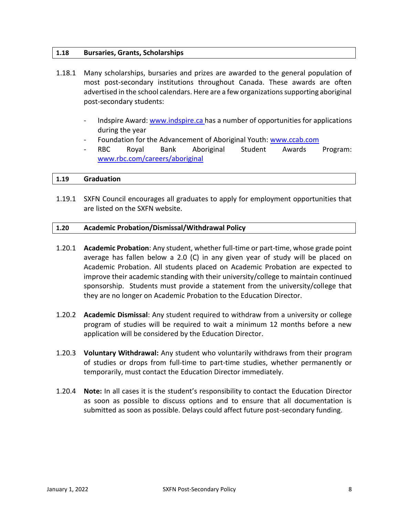# **1.18 Bursaries, Grants, Scholarships**

- 1.18.1 Many scholarships, bursaries and prizes are awarded to the general population of most post-secondary institutions throughout Canada. These awards are often advertised in the school calendars. Here are a few organizations supporting aboriginal post-secondary students:
	- Indspire Award: [www.indspire.ca h](http://www.indspire.ca/)as a number of opportunities for applications during the year
	- Foundation for the Advancement of Aboriginal Youth: [www.ccab.com](http://www.ccab.com/)
	- RBC Royal Bank Aboriginal Student Awards Program: [www.rbc.com/careers/aboriginal](http://www.rbc.com/careers/aboriginal)

### **1.19 Graduation**

1.19.1 SXFN Council encourages all graduates to apply for employment opportunities that are listed on the SXFN website.

## **1.20 Academic Probation/Dismissal/Withdrawal Policy**

- 1.20.1 **Academic Probation**: Any student, whether full-time or part-time, whose grade point average has fallen below a 2.0 (C) in any given year of study will be placed on Academic Probation. All students placed on Academic Probation are expected to improve their academic standing with their university/college to maintain continued sponsorship. Students must provide a statement from the university/college that they are no longer on Academic Probation to the Education Director.
- 1.20.2 **Academic Dismissal**: Any student required to withdraw from a university or college program of studies will be required to wait a minimum 12 months before a new application will be considered by the Education Director.
- 1.20.3 **Voluntary Withdrawal:** Any student who voluntarily withdraws from their program of studies or drops from full-time to part-time studies, whether permanently or temporarily, must contact the Education Director immediately.
- 1.20.4 **Note:** In all cases it is the student's responsibility to contact the Education Director as soon as possible to discuss options and to ensure that all documentation is submitted as soon as possible. Delays could affect future post-secondary funding.